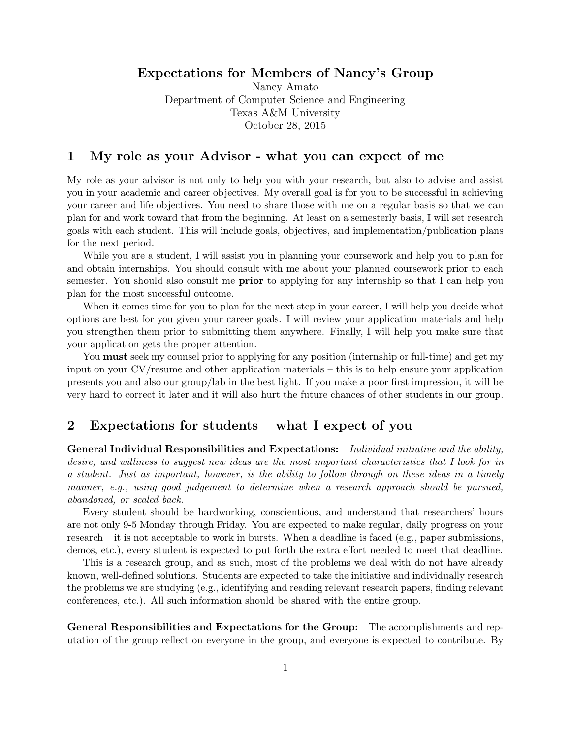# Expectations for Members of Nancy's Group

Nancy Amato Department of Computer Science and Engineering Texas A&M University October 28, 2015

### 1 My role as your Advisor - what you can expect of me

My role as your advisor is not only to help you with your research, but also to advise and assist you in your academic and career objectives. My overall goal is for you to be successful in achieving your career and life objectives. You need to share those with me on a regular basis so that we can plan for and work toward that from the beginning. At least on a semesterly basis, I will set research goals with each student. This will include goals, objectives, and implementation/publication plans for the next period.

While you are a student, I will assist you in planning your coursework and help you to plan for and obtain internships. You should consult with me about your planned coursework prior to each semester. You should also consult me **prior** to applying for any internship so that I can help you plan for the most successful outcome.

When it comes time for you to plan for the next step in your career, I will help you decide what options are best for you given your career goals. I will review your application materials and help you strengthen them prior to submitting them anywhere. Finally, I will help you make sure that your application gets the proper attention.

You **must** seek my counsel prior to applying for any position (internship or full-time) and get my input on your CV/resume and other application materials – this is to help ensure your application presents you and also our group/lab in the best light. If you make a poor first impression, it will be very hard to correct it later and it will also hurt the future chances of other students in our group.

# 2 Expectations for students – what I expect of you

General Individual Responsibilities and Expectations: Individual initiative and the ability, desire, and williness to suggest new ideas are the most important characteristics that I look for in a student. Just as important, however, is the ability to follow through on these ideas in a timely manner, e.g., using good judgement to determine when a research approach should be pursued, abandoned, or scaled back.

Every student should be hardworking, conscientious, and understand that researchers' hours are not only 9-5 Monday through Friday. You are expected to make regular, daily progress on your research – it is not acceptable to work in bursts. When a deadline is faced (e.g., paper submissions, demos, etc.), every student is expected to put forth the extra effort needed to meet that deadline.

This is a research group, and as such, most of the problems we deal with do not have already known, well-defined solutions. Students are expected to take the initiative and individually research the problems we are studying (e.g., identifying and reading relevant research papers, finding relevant conferences, etc.). All such information should be shared with the entire group.

General Responsibilities and Expectations for the Group: The accomplishments and reputation of the group reflect on everyone in the group, and everyone is expected to contribute. By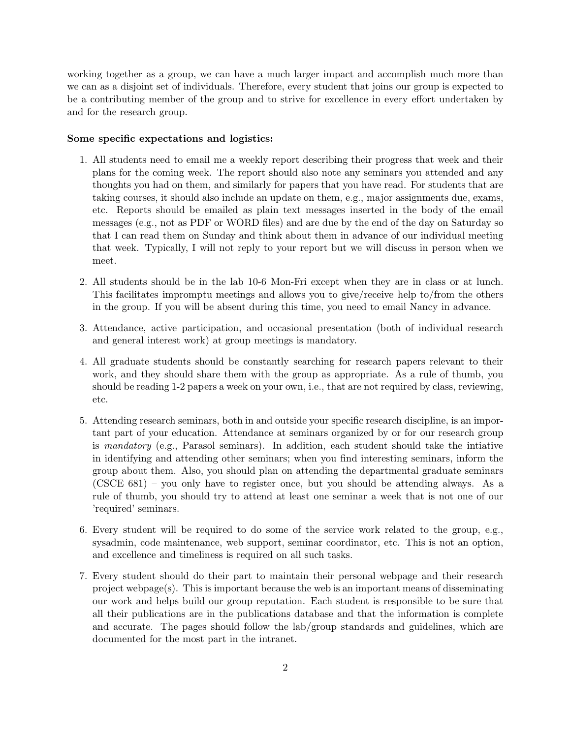working together as a group, we can have a much larger impact and accomplish much more than we can as a disjoint set of individuals. Therefore, every student that joins our group is expected to be a contributing member of the group and to strive for excellence in every effort undertaken by and for the research group.

#### Some specific expectations and logistics:

- 1. All students need to email me a weekly report describing their progress that week and their plans for the coming week. The report should also note any seminars you attended and any thoughts you had on them, and similarly for papers that you have read. For students that are taking courses, it should also include an update on them, e.g., major assignments due, exams, etc. Reports should be emailed as plain text messages inserted in the body of the email messages (e.g., not as PDF or WORD files) and are due by the end of the day on Saturday so that I can read them on Sunday and think about them in advance of our individual meeting that week. Typically, I will not reply to your report but we will discuss in person when we meet.
- 2. All students should be in the lab 10-6 Mon-Fri except when they are in class or at lunch. This facilitates impromptu meetings and allows you to give/receive help to/from the others in the group. If you will be absent during this time, you need to email Nancy in advance.
- 3. Attendance, active participation, and occasional presentation (both of individual research and general interest work) at group meetings is mandatory.
- 4. All graduate students should be constantly searching for research papers relevant to their work, and they should share them with the group as appropriate. As a rule of thumb, you should be reading 1-2 papers a week on your own, i.e., that are not required by class, reviewing, etc.
- 5. Attending research seminars, both in and outside your specific research discipline, is an important part of your education. Attendance at seminars organized by or for our research group is mandatory (e.g., Parasol seminars). In addition, each student should take the intiative in identifying and attending other seminars; when you find interesting seminars, inform the group about them. Also, you should plan on attending the departmental graduate seminars (CSCE 681) – you only have to register once, but you should be attending always. As a rule of thumb, you should try to attend at least one seminar a week that is not one of our 'required' seminars.
- 6. Every student will be required to do some of the service work related to the group, e.g., sysadmin, code maintenance, web support, seminar coordinator, etc. This is not an option, and excellence and timeliness is required on all such tasks.
- 7. Every student should do their part to maintain their personal webpage and their research project webpage(s). This is important because the web is an important means of disseminating our work and helps build our group reputation. Each student is responsible to be sure that all their publications are in the publications database and that the information is complete and accurate. The pages should follow the lab/group standards and guidelines, which are documented for the most part in the intranet.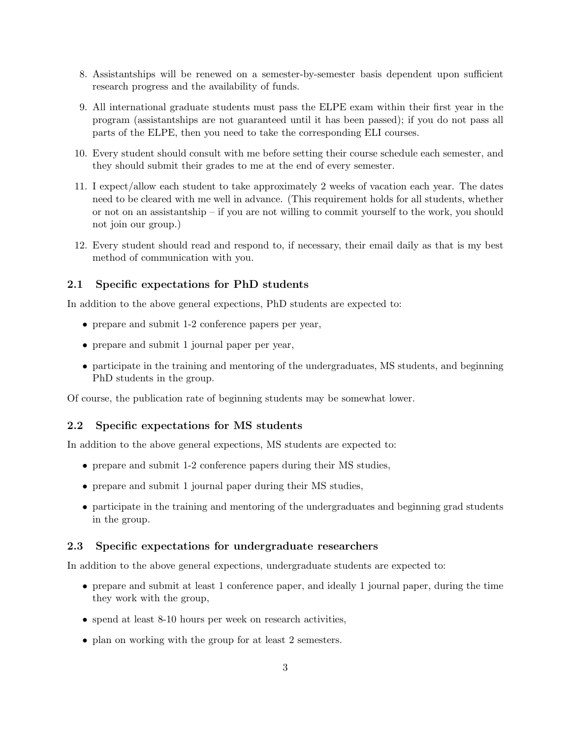- 8. Assistantships will be renewed on a semester-by-semester basis dependent upon sufficient research progress and the availability of funds.
- 9. All international graduate students must pass the ELPE exam within their first year in the program (assistantships are not guaranteed until it has been passed); if you do not pass all parts of the ELPE, then you need to take the corresponding ELI courses.
- 10. Every student should consult with me before setting their course schedule each semester, and they should submit their grades to me at the end of every semester.
- 11. I expect/allow each student to take approximately 2 weeks of vacation each year. The dates need to be cleared with me well in advance. (This requirement holds for all students, whether or not on an assistantship – if you are not willing to commit yourself to the work, you should not join our group.)
- 12. Every student should read and respond to, if necessary, their email daily as that is my best method of communication with you.

### 2.1 Specific expectations for PhD students

In addition to the above general expections, PhD students are expected to:

- prepare and submit 1-2 conference papers per year,
- prepare and submit 1 journal paper per year,
- participate in the training and mentoring of the undergraduates, MS students, and beginning PhD students in the group.

Of course, the publication rate of beginning students may be somewhat lower.

#### 2.2 Specific expectations for MS students

In addition to the above general expections, MS students are expected to:

- prepare and submit 1-2 conference papers during their MS studies,
- prepare and submit 1 journal paper during their MS studies,
- participate in the training and mentoring of the undergraduates and beginning grad students in the group.

#### 2.3 Specific expectations for undergraduate researchers

In addition to the above general expections, undergraduate students are expected to:

- prepare and submit at least 1 conference paper, and ideally 1 journal paper, during the time they work with the group,
- spend at least 8-10 hours per week on research activities,
- plan on working with the group for at least 2 semesters.